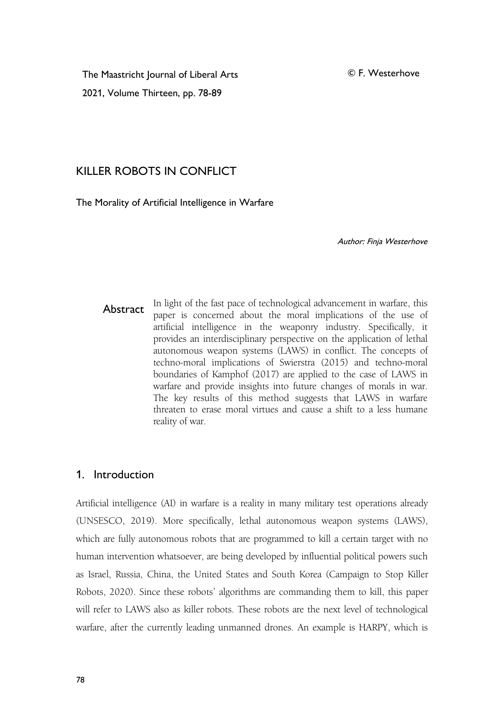© F. Westerhove

The Maastricht Journal of Liberal Arts 2021, Volume Thirteen, pp. 78-89

# KILLER ROBOTS IN CONFLICT

The Morality of Artificial Intelligence in Warfare

Author: Finja Westerhove

**Abstract** In light of the fast pace of technological advancement in warfare, this paper is concerned about the moral implications of the use of artificial intelligence in theweaponry industry. Specifically, it provides an interdisciplinary perspective on the application of lethal autonomous weapon systems (LAWS) in conflict. The concepts of techno-moral implications of Swierstra (2015) and techno-moral boundaries of Kamphof (2017) are applied to the case of LAWS in warfare and provide insights into future changes of morals in war. The key results of this method suggests that LAWS in warfare threaten to erase moral virtues and cause a shift to a less humane reality of war.

## 1. Introduction

Artificial intelligence (AI) in warfare is a reality in many military test operations already (UNSESCO, 2019). More specifically, lethal autonomous weapon systems (LAWS), which are fully autonomous robots that are programmed to kill a certain target with no human intervention whatsoever, are being developed by influential political powers such as Israel, Russia, China, the United States and South Korea (Campaign to Stop Killer Robots, 2020). Since these robots'algorithms are commanding them to kill, this paper will refer to LAWS also as killer robots. These robots are the next level of technological warfare, after the currently leading unmanned drones. An example is HARPY, which is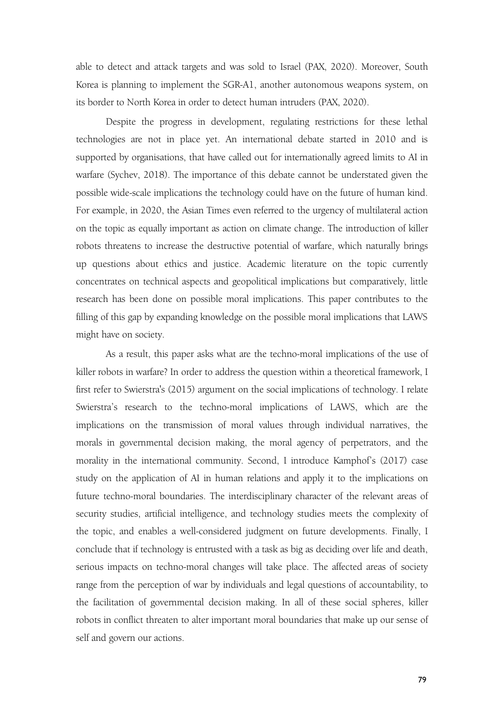able to detect and attack targets and was sold to Israel (PAX, 2020). Moreover, South Korea is planning to implement the SGR-A1, another autonomous weapons system, on its border to North Korea in order to detect human intruders (PAX, 2020).

Despite the progress in development, regulating restrictions for these lethal technologies are not in place yet. An international debate started in 2010 and is supported by organisations, that have called out for internationally agreed limits to AI in warfare (Sychev, 2018). The importance of this debate cannot be understated given the possible wide-scale implications the technology could have on the future of human kind. For example, in 2020, the Asian Times even referred to the urgency of multilateral action on the topic as equally important as action on climate change. The introduction of killer robots threatens to increase the destructive potential of warfare, which naturally brings up questions about ethics and justice. Academic literature on the topic currently concentrates on technical aspects and geopolitical implications but comparatively, little research has been done on possible moral implications. This paper contributes to the filling of this gap by expanding knowledge on the possible moral implications that LAWS might have on society.

As a result, this paper asks what are the techno-moral implications of the use of killer robots in warfare? In order to address the question within a theoretical framework, I first refer to Swierstra's (2015) argument on the social implications of technology. I relate Swierstra's research to the techno-moral implications of LAWS, which are the implications on the transmission of moral values through individual narratives, the morals in governmental decision making, the moral agency of perpetrators, and the morality in the international community. Second, I introduce Kamphof's (2017) case study on the application of AI in human relations and apply it to the implications on future techno-moral boundaries. The interdisciplinary character of the relevant areas of security studies, artificial intelligence, and technology studies meets the complexity of the topic, and enables a well-considered judgment on future developments. Finally, I conclude that if technology is entrusted with a task as big as deciding over life and death, serious impacts on techno-moral changes will take place. The affected areas of society range from the perception of war by individuals and legal questions of accountability, to the facilitation of governmental decision making. In all of these social spheres, killer robots in conflict threaten to alter important moral boundaries that make up our sense of self and govern our actions.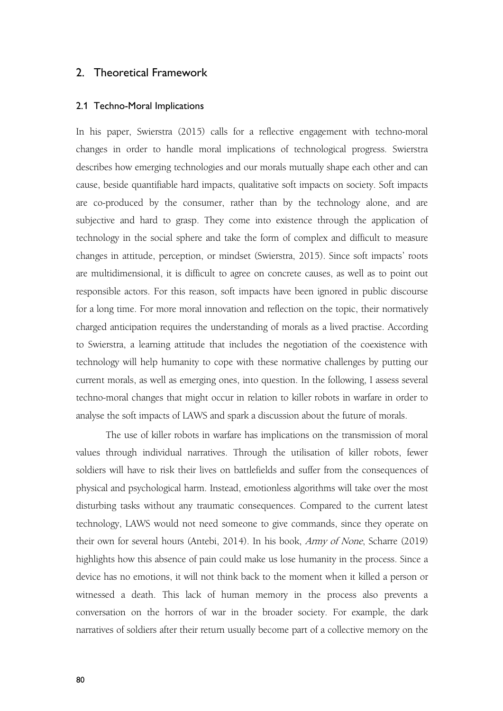## 2. Theoretical Framework

#### 2.1 Techno-Moral Implications

In his paper, Swierstra (2015) calls for a reflective engagement with techno-moral changes in order to handle moral implications of technological progress. Swierstra describes how emerging technologies and our morals mutually shape each other and can cause, beside quantifiable hard impacts, qualitative soft impacts on society. Soft impacts are co-produced by the consumer, rather than by the technology alone, and are subjective and hard to grasp. They come into existence through the application of technology in the social sphere and take the form of complex and difficult to measure changes in attitude, perception, or mindset (Swierstra, 2015). Since soft impacts' roots are multidimensional, it is difficult to agree on concrete causes, as well as to point out responsible actors. For this reason, soft impacts have been ignored in public discourse for a long time. For more moral innovation and reflection on the topic, their normatively charged anticipation requires the understanding of morals as a lived practise. According to Swierstra, a learning attitude that includes the negotiation of the coexistence with technology will help humanity to cope with these normative challenges by putting our current morals, as well as emerging ones, into question. In the following, I assess several techno-moral changes that might occur in relation to killer robots in warfare in order to analyse the soft impacts of LAWS and spark a discussion about the future of morals.

The use of killer robots in warfare has implications on the transmission of moral values through individual narratives. Through the utilisation of killer robots, fewer soldiers will have to risk their lives on battlefields and suffer from the consequences of physical and psychological harm. Instead, emotionless algorithms will take over the most disturbing tasks without any traumatic consequences. Compared to the current latest technology, LAWS would not need someone to give commands, since they operate on their own for several hours (Antebi, 2014). In his book, Army of None, Scharre (2019) highlights how this absence of pain could make us lose humanity in the process. Since a device has no emotions, it will not think back to the moment when it killed a person or witnessed a death. This lack of human memory in the process also prevents a conversation on the horrors of war in the broader society. For example, the dark narratives of soldiers after their return usually become part of a collective memory on the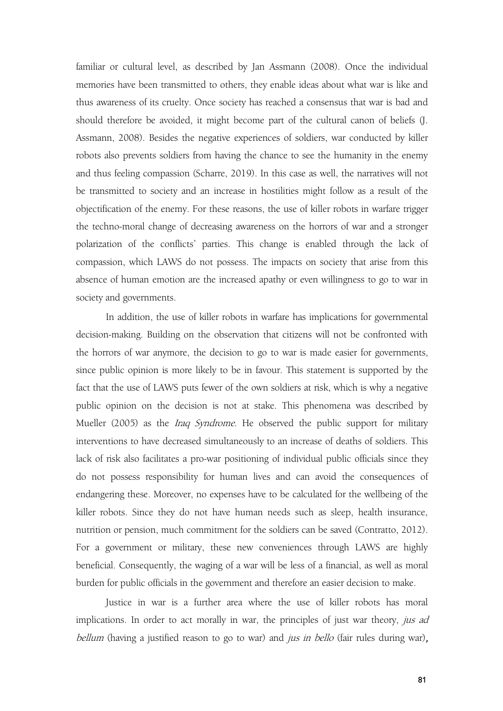familiar or cultural level, as described by Jan Assmann (2008). Once the individual memories have been transmitted to others, they enable ideas about what war is like and thus awareness of its cruelty. Once society has reached a consensus that war is bad and should therefore be avoided, it might become part of the cultural canon of beliefs (J. Assmann, 2008). Besides the negative experiences of soldiers, war conducted by killer robots also prevents soldiers from having the chance to see the humanity in the enemy and thus feeling compassion (Scharre, 2019). In this case as well, the narratives will not be transmitted to society and an increase in hostilities might follow as a result of the objectification of the enemy.For these reasons, the use of killer robots in warfare trigger the techno-moral change of decreasing awareness on the horrors of war and a stronger polarization of the conflicts' parties. This change is enabled through the lack of compassion, which LAWS do not possess. The impacts on society that arise from this absence of human emotion are the increased apathy or even willingness to go to war in society and governments.

In addition, the use of killer robots in warfare has implications for governmental decision-making. Building on the observation that citizens will not be confronted with the horrors of war anymore, the decision to go to war is made easier for governments, since public opinion is more likely to be in favour. This statement is supported by the fact that the use of LAWS puts fewer of the own soldiers at risk, which is why a negative public opinion on the decision is not at stake. This phenomena was described by Mueller (2005) as the *Iraq Syndrome*. He observed the public support for military interventions to have decreased simultaneously to an increase of deaths of soldiers. This lack of risk also facilitates a pro-war positioning of individual public officials since they do not possess responsibility for human lives and can avoid the consequences of endangering these. Moreover, no expenses have to be calculated for the wellbeing of the killer robots. Since they do not have human needs such as sleep, health insurance, nutrition or pension, much commitment for the soldiers can be saved (Contratto, 2012). For a government or military, these new conveniences through LAWS are highly beneficial. Consequently, the waging of a war will be less of a financial, as well as moral burden for public officials in the government and therefore an easier decision to make.

Justice in war is a further area where the use of killer robots has moral implications. In order to act morally in war, the principles of just war theory, jus ad bellum (having a justified reason to go to war) and *jus in bello* (fair rules during war),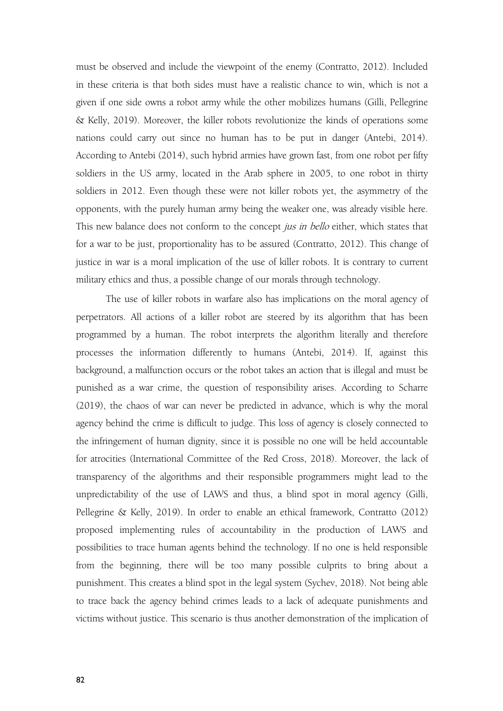must be observed and include the viewpoint of the enemy (Contratto, 2012). Included in these criteria is that both sides must have a realistic chance to win, which is not a given if one side owns a robot army while the other mobilizes humans (Gilli, Pellegrine & Kelly, 2019). Moreover, the killer robots revolutionize the kinds of operations some nations could carry out since no human has to be put in danger (Antebi, 2014). According to Antebi (2014), such hybrid armies have grown fast, from one robot per fifty soldiers in the US army, located in the Arab sphere in 2005, to one robot in thirty soldiers in 2012. Even though these were not killer robots yet, the asymmetry of the opponents, with the purely human army being the weaker one, was already visible here. This new balance does not conform to the concept jus in bello either, which states that for a war to be just, proportionality has to be assured (Contratto, 2012). This change of justice in war is a moral implication of the use of killer robots. It is contrary to current military ethics and thus, a possible change of our morals through technology.

The use of killer robots in warfare also has implications on the moral agency of perpetrators. All actions of a killer robot are steered by its algorithm that has been programmed by a human. The robot interprets the algorithm literally and therefore processes the information differently to humans (Antebi, 2014). If, against this background, a malfunction occurs or the robot takes an action that is illegal and must be punished as awar crime, the question of responsibility arises. According to Scharre (2019), the chaos of war can never be predicted in advance, which is why the moral agency behind the crime is difficult to judge. This loss of agency is closely connected to the infringement of human dignity, since it is possible no one will be held accountable for atrocities (International Committee of the Red Cross, 2018). Moreover, the lack of transparency of the algorithms and their responsible programmers might lead to the unpredictability of the use of LAWS and thus, a blind spot in moral agency (Gilli, Pellegrine & Kelly, 2019). In order to enable an ethical framework, Contratto (2012) proposed implementing rules of accountability in the production of LAWS and possibilities to trace human agents behind the technology. If no one is held responsible from the beginning, there will be too many possible culprits to bring about a punishment. This creates a blind spot in the legal system (Sychev, 2018). Not being able to trace back the agency behind crimes leads to a lack of adequate punishments and victims without justice. This scenario is thus another demonstration of the implication of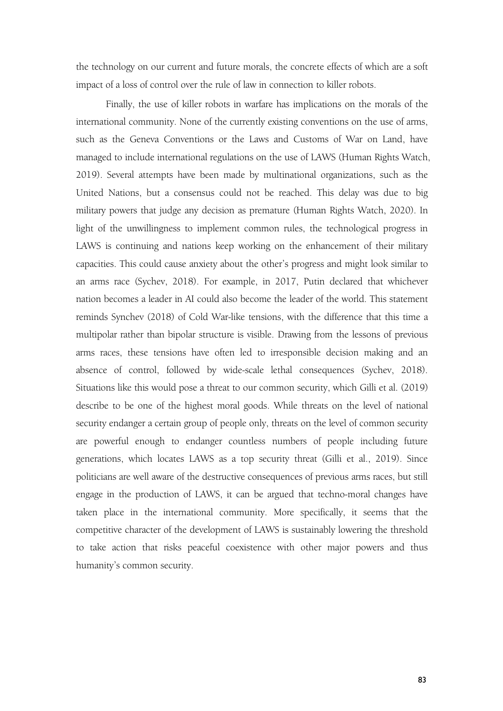the technology on our current and future morals, the concrete effects of which are asoft impact of a loss of control over the rule of law in connection to killer robots.

Finally, the use of killer robots in warfare has implications on the morals of the international community. None of the currently existing conventions on the use of arms, such as the Geneva Conventions or the Laws and Customs of War on Land, have managed to include international regulations on the use of LAWS (Human Rights Watch, 2019). Several attempts have been made by multinational organizations, such as the United Nations, but a consensus could not be reached. This delay was due to big military powers that judge any decision as premature (Human Rights Watch, 2020). In light of the unwillingness to implement common rules, the technological progress in LAWS is continuing and nations keep working on the enhancement of their military capacities. This could cause anxiety about the other's progress and might look similar to an arms race (Sychev, 2018). For example, in 2017, Putin declared that whichever nation becomes a leader in AI could also become the leader of the world. This statement reminds Synchev (2018) of Cold War-like tensions, with the difference that this time a multipolar rather than bipolar structure is visible. Drawing from the lessons of previous arms races, these tensions have often led to irresponsible decision making and an absence of control, followed by wide-scale lethal consequences (Sychev, 2018). Situations like this would pose a threat to our common security, which Gilli et al. (2019) describe to be one of the highest moral goods. While threats on the level of national security endanger a certain group of people only, threats on the level of common security are powerful enough to endanger countless numbers of people including future generations, which locates LAWS as a top security threat (Gilli et al., 2019). Since politicians are well aware of the destructive consequences of previous arms races, but still engage in the production of LAWS, it can be argued that techno-moral changes have taken place in the international community. More specifically, it seems that the competitive character of the development of LAWS is sustainably lowering the threshold to take action that risks peaceful coexistence with other major powers and thus humanity's common security.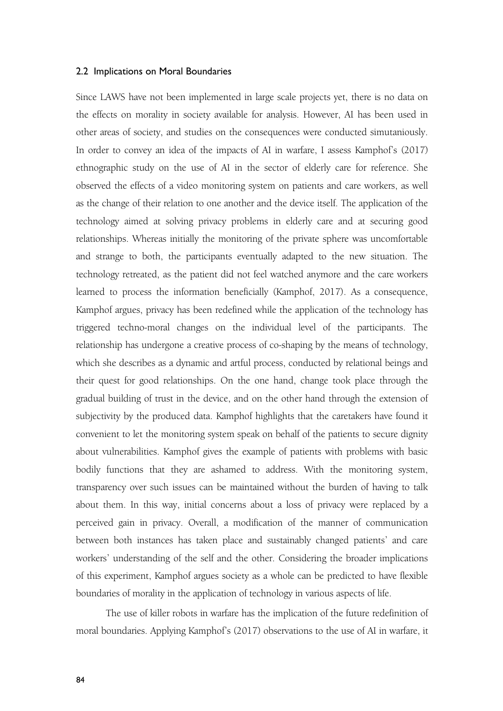#### 2.2 Implications on Moral Boundaries

Since LAWS have not been implemented in large scale projects yet, there is no data on the effects on morality in society available for analysis. However, AI has been used in other areas of society, and studies on the consequences were conducted simutaniously. In order to convey an idea of the impacts of AI in warfare, I assess Kamphof's (2017) ethnographic study on the use of AI in the sector of elderly care for reference. She observed the effects of a video monitoring system on patients and care workers, as well as the change of their relation to one another and the device itself. The application of the technology aimed at solving privacy problems in elderly care and at securing good relationships. Whereas initially the monitoring of the private sphere was uncomfortable and strange to both, the participants eventually adapted to the new situation. The technology retreated, as the patient did not feel watched anymore and the care workers learned to process the information beneficially (Kamphof, 2017). As a consequence, Kamphof argues, privacy has been redefined while the application of the technology has triggered techno-moral changes on the individual level of the participants. The relationship has undergone a creative process of co-shaping by the means of technology, which she describes as a dynamic and artful process, conducted by relational beings and their quest for good relationships. On the one hand, change took place through the gradual building of trust in the device, and on the other hand through the extension of subjectivity by the produced data. Kamphof highlights that the caretakers have found it convenient to let the monitoring system speak on behalf of the patients to secure dignity about vulnerabilities. Kamphof gives the example of patients with problems with basic bodily functions that they are ashamed to address. With the monitoring system, transparency over such issues can be maintained without the burden of having to talk about them. In this way, initial concerns about a loss of privacy were replaced by a perceived gain in privacy. Overall, a modification of the manner of communication between both instances has taken place and sustainably changed patients' and care workers' understanding of the self and the other. Considering the broader implications of this experiment, Kamphof argues society as a whole can be predicted to have flexible boundaries of morality in the application of technology in various aspects of life.

The use of killer robots in warfare has the implication of the future redefinition of moral boundaries. Applying Kamphof's (2017) observations to the use of AI in warfare, it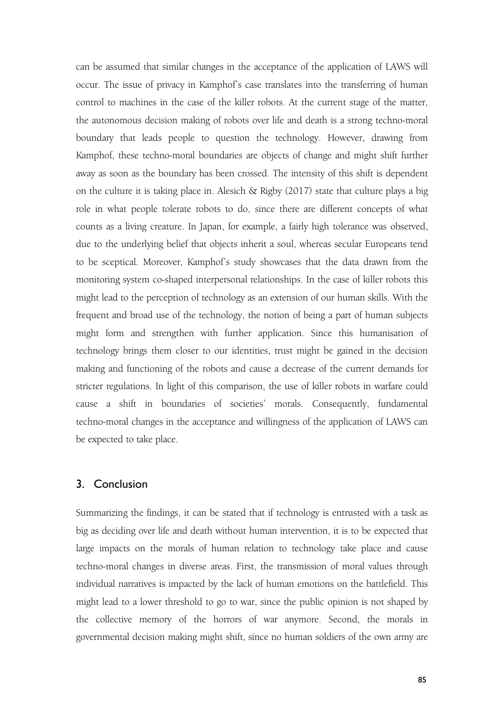can be assumed that similar changes in the acceptance of the application of LAWS will occur. The issue of privacy in Kamphof's case translates into the transferring of human control to machines in the case of the killer robots. At the current stage of the matter, the autonomous decision making of robots over life and death is a strong techno-moral boundary that leads people to question the technology. However, drawing from Kamphof, these techno-moral boundaries are objects of change and might shift further away as soon as the boundary has been crossed. The intensity of this shift is dependent on the culture it is taking place in. Alesich & Rigby (2017) state that culture plays a big role in what people tolerate robots to do, since there are different concepts of what counts as a living creature. In Japan, for example, a fairly high tolerance was observed, due to the underlying belief that objects inherit a soul, whereas secular Europeans tend to be sceptical. Moreover, Kamphof's study showcases that the data drawn from the monitoring system co-shaped interpersonal relationships. In the case of killer robots this might lead to the perception of technology as an extension of our human skills. With the frequent and broad use of the technology, the notion of being a part of human subjects might form and strengthen with further application. Since this humanisation of technology brings them closer to our identities, trust might be gained in the decision making and functioning of the robots and cause a decrease of the current demands for stricter regulations. In light of this comparison, the use of killer robots in warfare could cause a shift in boundaries of societies' morals. Consequently, fundamental techno-moral changes in the acceptance and willingness of the application of LAWS can be expected to take place.

#### 3. Conclusion

Summarizing the findings, it can be stated that if technology is entrusted with a task as big as deciding over life and death without human intervention, it is to be expected that large impacts on the morals of human relation to technology take place and cause techno-moral changes in diverse areas. First, the transmission of moral values through individual narratives is impacted by the lack of human emotions on the battlefield. This might lead to a lower threshold to go to war, since the public opinion is not shaped by the collective memory of the horrors of war anymore. Second, the morals in governmental decision making might shift, since no human soldiers of the own army are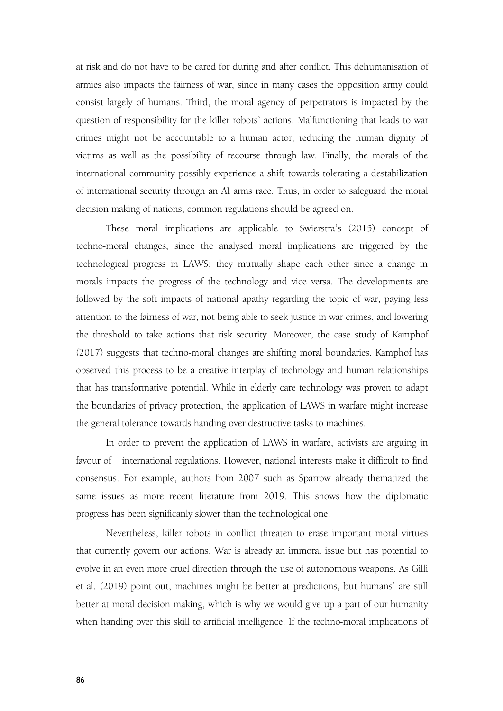at risk and do not have to be cared for during and after conflict. This dehumanisation of armies also impacts the fairness of war, since in many cases the opposition army could consist largely of humans. Third, the moral agency of perpetrators is impacted by the question of responsibility for the killer robots' actions. Malfunctioning that leads to war crimes might not be accountable to a human actor, reducing the human dignity of victims as well as the possibility of recourse through law. Finally, the morals of the international community possibly experience a shift towards tolerating a destabilization of international security through an AI arms race.Thus, in order to safeguard the moral decision making of nations, common regulations should be agreed on.

These moral implications are applicable to Swierstra's (2015) concept of techno-moral changes, since the analysed moral implications are triggered by the technological progress in LAWS; they mutually shape each other since a change in morals impacts the progress of the technology and vice versa. The developments are followed by the soft impacts of national apathy regarding the topic of war, paying less attention to the fairness of war, not being able to seek justice in war crimes, and lowering the threshold to take actions that risk security. Moreover, the case study of Kamphof (2017) suggests that techno-moral changes are shifting moral boundaries. Kamphof has observed this process to be a creative interplay of technology and human relationships that has transformative potential. While in elderly care technology was proven to adapt the boundaries of privacy protection, the application of LAWS in warfare might increase the general tolerance towards handing over destructive tasks to machines.

In order to prevent the application of LAWS in warfare, activists are arguing in favour of international regulations. However, national interests make it difficult to find consensus. For example, authors from 2007 such as Sparrow already thematized the same issues as more recent literature from 2019. This shows how the diplomatic progress has been significanly slower than the technological one.

Nevertheless, killer robots in conflict threaten to erase important moral virtues that currently govern our actions. War is already an immoral issue but has potential to evolve in an even more cruel direction through the use of autonomous weapons. As Gilli et al. (2019) point out, machines might be better at predictions, but humans' are still better at moral decision making, which is why we would give up a part of our humanity when handing over this skill to artificial intelligence. If the techno-moral implications of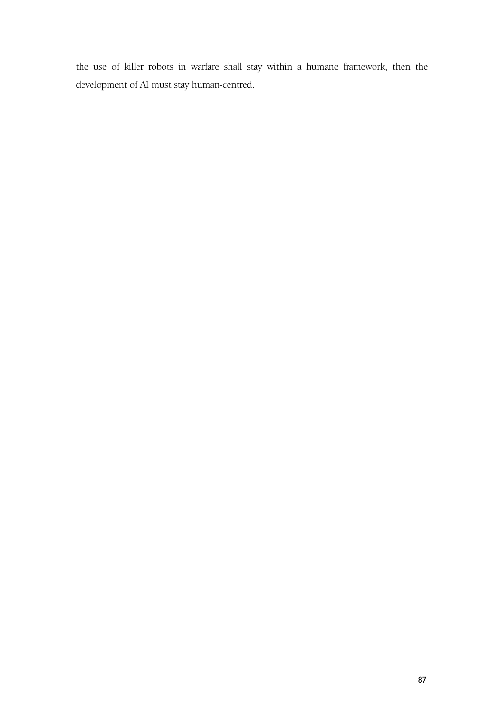the use of killer robots in warfare shall stay within a humane framework, then the development of AI must stay human-centred.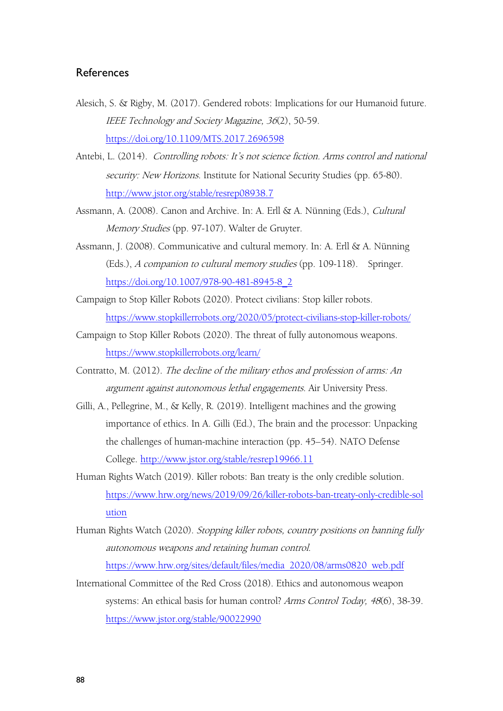## **References**

- Alesich, S. & Rigby, M. (2017). Gendered robots: Implications for our Humanoid future. IEEE Technology and Society Magazine, <sup>36</sup>(2), 50-59. <https://doi.org/10.1109/MTS.2017.2696598>
- Antebi, L. (2014). Controlling robots: It's not science fiction. Arms control and national security: New Horizons. Institute for National Security Studies (pp. 65-80). <http://www.jstor.org/stable/resrep08938.7>
- Assmann, A. (2008). Canon and Archive. In: A. Erll & A. Nünning (Eds.), Cultural Memory Studies (pp. 97-107). Walter de Gruyter.
- Assmann, J. (2008). Communicative and cultural memory. In: A. Erll & A. Nünning (Eds.), A companion to cultural memory studies (pp. 109-118). Springer. [https://doi.org/10.1007/978-90-481-8945-8\\_2](https://doi.org/10.1007/978-90-481-8945-8_2)
- Campaign to Stop Killer Robots (2020). Protect civilians: Stop killer robots. <https://www.stopkillerrobots.org/2020/05/protect-civilians-stop-killer-robots/>
- Campaign to Stop Killer Robots (2020). The threat of fully autonomous weapons. <https://www.stopkillerrobots.org/learn/>
- Contratto, M. (2012). The decline of the military ethos and profession of arms: An argument against autonomous lethal engagements. Air University Press.
- Gilli, A., Pellegrine, M., & Kelly, R. (2019). Intelligent machines and the growing importance of ethics. In A. Gilli (Ed.), The brain and the processor: Unpacking the challenges of human-machine interaction (pp. 45–54). NATO Defense College. <http://www.jstor.org/stable/resrep19966.11>
- Human Rights Watch (2019). Killer robots: Ban treaty is the only credible solution. [https://www.hrw.org/news/2019/09/26/killer-robots-ban-treaty-only-credible-sol](https://www.hrw.org/news/2019/09/26/killer-robots-ban-treaty-only-credible-solution) ution
- Human Rights Watch (2020). Stopping killer robots, country positions on banning fully autonomous weapons and retaining human control. [https://www.hrw.org/sites/default/files/media\\_2020/08/arms0820\\_web.pdf](https://www.hrw.org/sites/default/files/media_2020/08/arms0820_web.pdf)
- International Committee of the Red Cross (2018). Ethics and autonomous weapon systems: An ethical basis for human control? Arms Control Today, 48(6), 38-39. <https://www.jstor.org/stable/90022990>